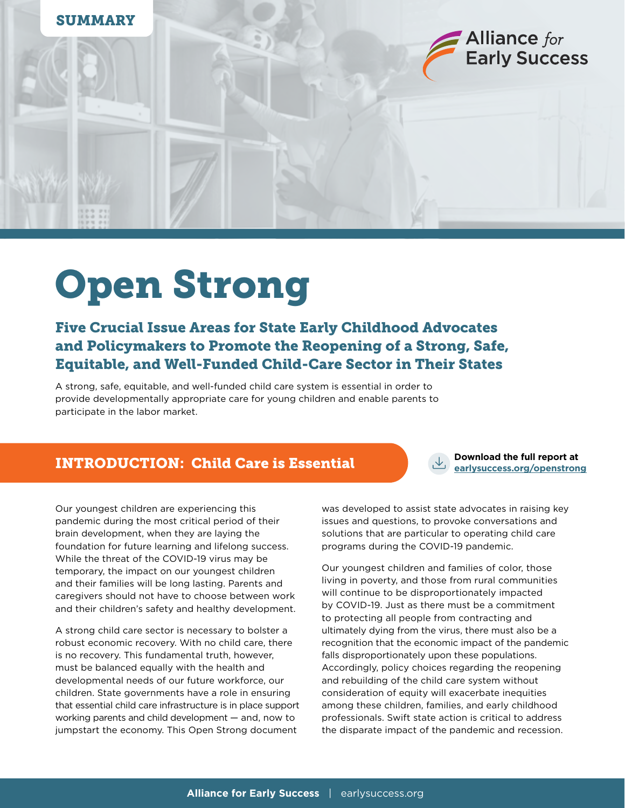

# Open Strong

## Five Crucial Issue Areas for State Early Childhood Advocates and Policymakers to Promote the Reopening of a Strong, Safe, Equitable, and Well-Funded Child-Care Sector in Their States

A strong, safe, equitable, and well-funded child care system is essential in order to provide developmentally appropriate care for young children and enable parents to participate in the labor market.

### **EXTRODUCTION: Child Care is Essential Extending the Care of All PLANSIS CONSTRANSIST** Care is an export at

**Download the full report at**

Our youngest children are experiencing this pandemic during the most critical period of their brain development, when they are laying the foundation for future learning and lifelong success. While the threat of the COVID-19 virus may be temporary, the impact on our youngest children and their families will be long lasting. Parents and caregivers should not have to choose between work and their children's safety and healthy development.

A strong child care sector is necessary to bolster a robust economic recovery. With no child care, there is no recovery. This fundamental truth, however, must be balanced equally with the health and developmental needs of our future workforce, our children. State governments have a role in ensuring that essential child care infrastructure is in place support working parents and child development — and, now to jumpstart the economy. This Open Strong document

was developed to assist state advocates in raising key issues and questions, to provoke conversations and solutions that are particular to operating child care programs during the COVID-19 pandemic.

Our youngest children and families of color, those living in poverty, and those from rural communities will continue to be disproportionately impacted by COVID-19. Just as there must be a commitment to protecting all people from contracting and ultimately dying from the virus, there must also be a recognition that the economic impact of the pandemic falls disproportionately upon these populations. Accordingly, policy choices regarding the reopening and rebuilding of the child care system without consideration of equity will exacerbate inequities among these children, families, and early childhood professionals. Swift state action is critical to address the disparate impact of the pandemic and recession.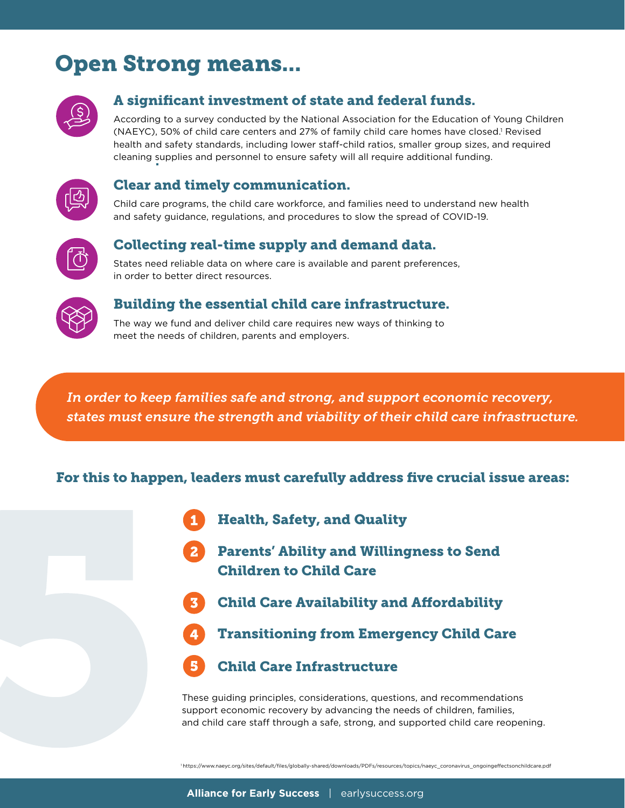# Open Strong means...



### A significant investment of state and federal funds.

According to a survey conducted by the National Association for the Education of Young Children (NAEYC), 50% of child care centers and 27% of family child care homes have closed.<sup>1</sup> Revised health and safety standards, including lower staff-child ratios, smaller group sizes, and required cleaning supplies and personnel to ensure safety will all require additional funding.



#### Clear and timely communication.

Child care programs, the child care workforce, and families need to understand new health and safety guidance, regulations, and procedures to slow the spread of COVID-19.



#### Collecting real-time supply and demand data.

States need reliable data on where care is available and parent preferences, in order to better direct resources.



#### Building the essential child care infrastructure.

The way we fund and deliver child care requires new ways of thinking to meet the needs of children, parents and employers.

*In order to keep families safe and strong, and support economic recovery, states must ensure the strength and viability of their child care infrastructure.* 

#### For this to happen, leaders must carefully address five crucial issue areas:

- Health, Safety, and Quality
- Parents' Ability and Willingness to Send Children to Child Care
- Child Care Availability and Affordability
- Transitioning from Emergency Child Care



These guiding principles, considerations, questions, and recommendations support economic recovery by advancing the needs of children, families, and child care staff through a safe, strong, and supported child care reopening.

1 https://www.naeyc.org/sites/default/files/globally-shared/downloads/PDFs/resources/topics/naeyc\_coronavirus\_ongoingeffectsonchildcare.pdf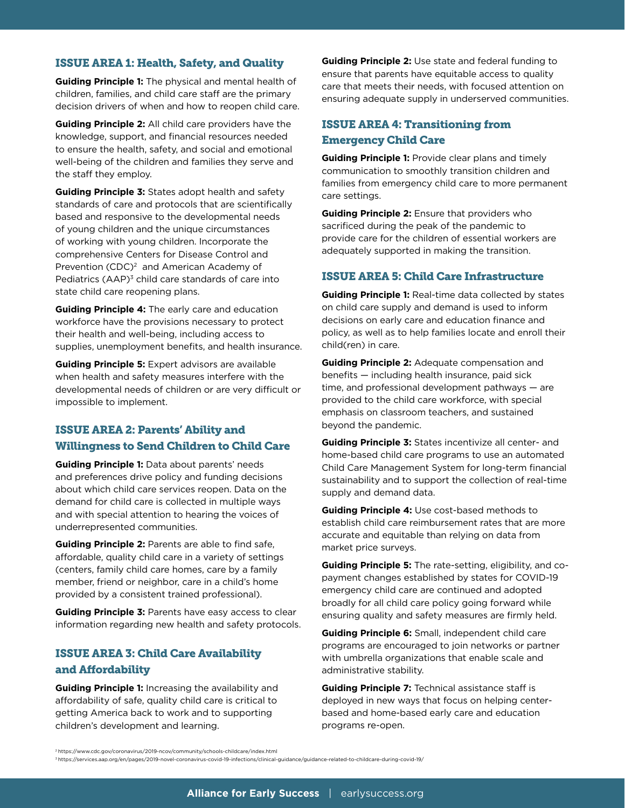#### ISSUE AREA 1: Health, Safety, and Quality

**Guiding Principle 1:** The physical and mental health of children, families, and child care staff are the primary decision drivers of when and how to reopen child care.

**Guiding Principle 2:** All child care providers have the knowledge, support, and financial resources needed to ensure the health, safety, and social and emotional well-being of the children and families they serve and the staff they employ.

**Guiding Principle 3:** States adopt health and safety standards of care and protocols that are scientifically based and responsive to the developmental needs of young children and the unique circumstances of working with young children. Incorporate the comprehensive Centers for Disease Control and Prevention (CDC)<sup>2</sup> and American Academy of Pediatrics (AAP)<sup>3</sup> child care standards of care into state child care reopening plans.

**Guiding Principle 4:** The early care and education workforce have the provisions necessary to protect their health and well-being, including access to supplies, unemployment benefits, and health insurance.

**Guiding Principle 5:** Expert advisors are available when health and safety measures interfere with the developmental needs of children or are very difficult or impossible to implement.

#### ISSUE AREA 2: Parents' Ability and Willingness to Send Children to Child Care

**Guiding Principle 1:** Data about parents' needs and preferences drive policy and funding decisions about which child care services reopen. Data on the demand for child care is collected in multiple ways and with special attention to hearing the voices of underrepresented communities.

**Guiding Principle 2:** Parents are able to find safe, affordable, quality child care in a variety of settings (centers, family child care homes, care by a family member, friend or neighbor, care in a child's home provided by a consistent trained professional).

**Guiding Principle 3:** Parents have easy access to clear information regarding new health and safety protocols.

#### ISSUE AREA 3: Child Care Availability and Affordability

**Guiding Principle 1:** Increasing the availability and affordability of safe, quality child care is critical to getting America back to work and to supporting children's development and learning.

**Guiding Principle 2:** Use state and federal funding to ensure that parents have equitable access to quality care that meets their needs, with focused attention on ensuring adequate supply in underserved communities.

#### ISSUE AREA 4: Transitioning from Emergency Child Care

**Guiding Principle 1:** Provide clear plans and timely communication to smoothly transition children and families from emergency child care to more permanent care settings.

**Guiding Principle 2:** Ensure that providers who sacrificed during the peak of the pandemic to provide care for the children of essential workers are adequately supported in making the transition.

#### ISSUE AREA 5: Child Care Infrastructure

**Guiding Principle 1:** Real-time data collected by states on child care supply and demand is used to inform decisions on early care and education finance and policy, as well as to help families locate and enroll their child(ren) in care.

**Guiding Principle 2:** Adequate compensation and benefits — including health insurance, paid sick time, and professional development pathways — are provided to the child care workforce, with special emphasis on classroom teachers, and sustained beyond the pandemic.

**Guiding Principle 3:** States incentivize all center- and home-based child care programs to use an automated Child Care Management System for long-term financial sustainability and to support the collection of real-time supply and demand data.

**Guiding Principle 4:** Use cost-based methods to establish child care reimbursement rates that are more accurate and equitable than relying on data from market price surveys.

**Guiding Principle 5:** The rate-setting, eligibility, and copayment changes established by states for COVID-19 emergency child care are continued and adopted broadly for all child care policy going forward while ensuring quality and safety measures are firmly held.

**Guiding Principle 6:** Small, independent child care programs are encouraged to join networks or partner with umbrella organizations that enable scale and administrative stability.

**Guiding Principle 7:** Technical assistance staff is deployed in new ways that focus on helping centerbased and home-based early care and education programs re-open.

3 https://services.aap.org/en/pages/2019-novel-coronavirus-covid-19-infections/clinical-guidance/guidance-related-to-childcare-during-covid-19/

<sup>2</sup> https://www.cdc.gov/coronavirus/2019-ncov/community/schools-childcare/index.html